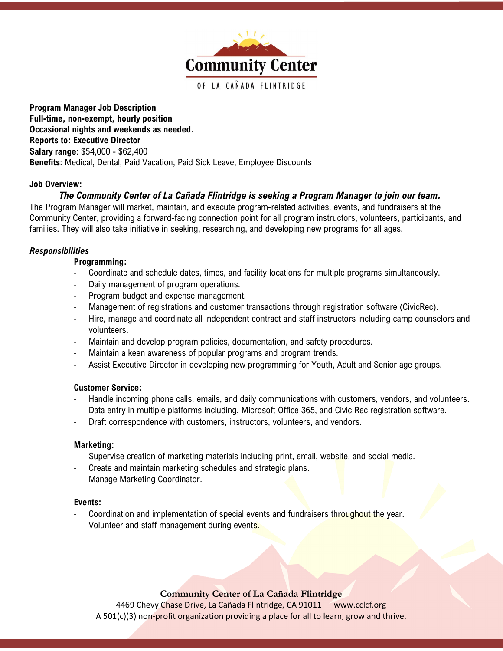

Program Manager Job Description Full-time, non-exempt, hourly position Occasional nights and weekends as needed. Reports to: Executive Director Salary range: \$54,000 - \$62,400 Benefits: Medical, Dental, Paid Vacation, Paid Sick Leave, Employee Discounts

## Job Overview:

# The Community Center of La Cañada Flintridge is seeking a Program Manager to join our team.

The Program Manager will market, maintain, and execute program-related activities, events, and fundraisers at the Community Center, providing a forward-facing connection point for all program instructors, volunteers, participants, and families. They will also take initiative in seeking, researching, and developing new programs for all ages.

# Responsibilities

## Programming:

- Coordinate and schedule dates, times, and facility locations for multiple programs simultaneously.
- Daily management of program operations.
- Program budget and expense management.
- Management of registrations and customer transactions through registration software (CivicRec).
- Hire, manage and coordinate all independent contract and staff instructors including camp counselors and volunteers.
- Maintain and develop program policies, documentation, and safety procedures.
- Maintain a keen awareness of popular programs and program trends.
- Assist Executive Director in developing new programming for Youth, Adult and Senior age groups.

#### Customer Service:

- Handle incoming phone calls, emails, and daily communications with customers, vendors, and volunteers.
- Data entry in multiple platforms including, Microsoft Office 365, and Civic Rec registration software.
- Draft correspondence with customers, instructors, volunteers, and vendors.

#### Marketing:

- Supervise creation of marketing materials including print, email, website, and social media.
- Create and maintain marketing schedules and strategic plans.
- Manage Marketing Coordinator.

#### Events:

- Coordination and implementation of special events and fundraisers throughout the year.
- Volunteer and staff management during events.

# Community Center of La Cañada Flintridge

4469 Chevy Chase Drive, La Cañada Flintridge, CA 91011 www.cclcf.org A 501(c)(3) non-profit organization providing a place for all to learn, grow and thrive.